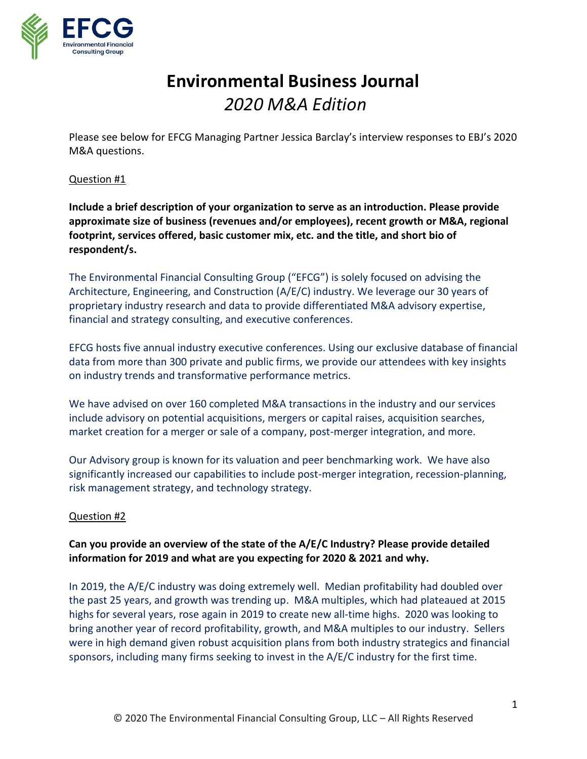

# **Environmental Business Journal** *2020 M&A Edition*

Please see below for EFCG Managing Partner Jessica Barclay's interview responses to EBJ's 2020 M&A questions.

## Question #1

**Include a brief description of your organization to serve as an introduction. Please provide approximate size of business (revenues and/or employees), recent growth or M&A, regional footprint, services offered, basic customer mix, etc. and the title, and short bio of respondent/s.**

The Environmental Financial Consulting Group ("EFCG") is solely focused on advising the Architecture, Engineering, and Construction (A/E/C) industry. We leverage our 30 years of proprietary industry research and data to provide differentiated M&A advisory expertise, financial and strategy consulting, and executive conferences.

EFCG hosts five annual industry executive conferences. Using our exclusive database of financial data from more than 300 private and public firms, we provide our attendees with key insights on industry trends and transformative performance metrics.

We have advised on over 160 completed M&A transactions in the industry and our services include advisory on potential acquisitions, mergers or capital raises, acquisition searches, market creation for a merger or sale of a company, post-merger integration, and more.

Our Advisory group is known for its valuation and peer benchmarking work. We have also significantly increased our capabilities to include post-merger integration, recession-planning, risk management strategy, and technology strategy.

## Question #2

# **Can you provide an overview of the state of the A/E/C Industry? Please provide detailed information for 2019 and what are you expecting for 2020 & 2021 and why.**

In 2019, the A/E/C industry was doing extremely well. Median profitability had doubled over the past 25 years, and growth was trending up. M&A multiples, which had plateaued at 2015 highs for several years, rose again in 2019 to create new all-time highs. 2020 was looking to bring another year of record profitability, growth, and M&A multiples to our industry. Sellers were in high demand given robust acquisition plans from both industry strategics and financial sponsors, including many firms seeking to invest in the A/E/C industry for the first time.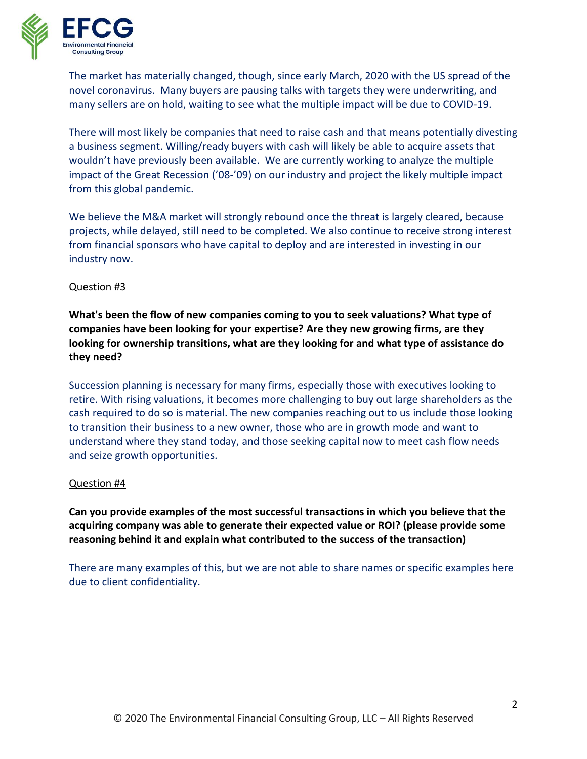

The market has materially changed, though, since early March, 2020 with the US spread of the novel coronavirus. Many buyers are pausing talks with targets they were underwriting, and many sellers are on hold, waiting to see what the multiple impact will be due to COVID-19.

There will most likely be companies that need to raise cash and that means potentially divesting a business segment. Willing/ready buyers with cash will likely be able to acquire assets that wouldn't have previously been available. We are currently working to analyze the multiple impact of the Great Recession ('08-'09) on our industry and project the likely multiple impact from this global pandemic.

We believe the M&A market will strongly rebound once the threat is largely cleared, because projects, while delayed, still need to be completed. We also continue to receive strong interest from financial sponsors who have capital to deploy and are interested in investing in our industry now.

## Question #3

**What's been the flow of new companies coming to you to seek valuations? What type of companies have been looking for your expertise? Are they new growing firms, are they looking for ownership transitions, what are they looking for and what type of assistance do they need?**

Succession planning is necessary for many firms, especially those with executives looking to retire. With rising valuations, it becomes more challenging to buy out large shareholders as the cash required to do so is material. The new companies reaching out to us include those looking to transition their business to a new owner, those who are in growth mode and want to understand where they stand today, and those seeking capital now to meet cash flow needs and seize growth opportunities.

## Question #4

**Can you provide examples of the most successful transactions in which you believe that the acquiring company was able to generate their expected value or ROI? (please provide some reasoning behind it and explain what contributed to the success of the transaction)**

There are many examples of this, but we are not able to share names or specific examples here due to client confidentiality.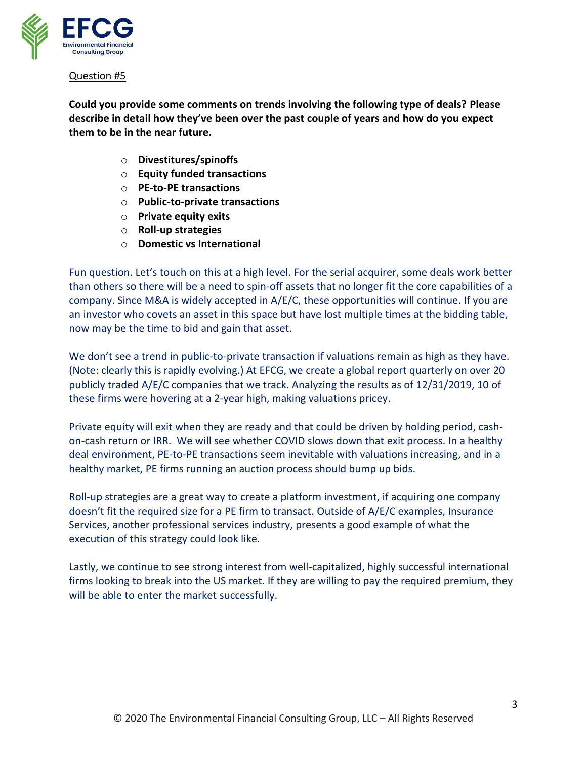

**Could you provide some comments on trends involving the following type of deals? Please describe in detail how they've been over the past couple of years and how do you expect them to be in the near future.**

- o **Divestitures/spinoffs**
- o **Equity funded transactions**
- o **PE-to-PE transactions**
- o **Public-to-private transactions**
- o **Private equity exits**
- o **Roll-up strategies**
- o **Domestic vs International**

Fun question. Let's touch on this at a high level. For the serial acquirer, some deals work better than others so there will be a need to spin-off assets that no longer fit the core capabilities of a company. Since M&A is widely accepted in A/E/C, these opportunities will continue. If you are an investor who covets an asset in this space but have lost multiple times at the bidding table, now may be the time to bid and gain that asset.

We don't see a trend in public-to-private transaction if valuations remain as high as they have. (Note: clearly this is rapidly evolving.) At EFCG, we create a global report quarterly on over 20 publicly traded A/E/C companies that we track. Analyzing the results as of 12/31/2019, 10 of these firms were hovering at a 2-year high, making valuations pricey.

Private equity will exit when they are ready and that could be driven by holding period, cashon-cash return or IRR. We will see whether COVID slows down that exit process. In a healthy deal environment, PE-to-PE transactions seem inevitable with valuations increasing, and in a healthy market, PE firms running an auction process should bump up bids.

Roll-up strategies are a great way to create a platform investment, if acquiring one company doesn't fit the required size for a PE firm to transact. Outside of A/E/C examples, Insurance Services, another professional services industry, presents a good example of what the execution of this strategy could look like.

Lastly, we continue to see strong interest from well-capitalized, highly successful international firms looking to break into the US market. If they are willing to pay the required premium, they will be able to enter the market successfully.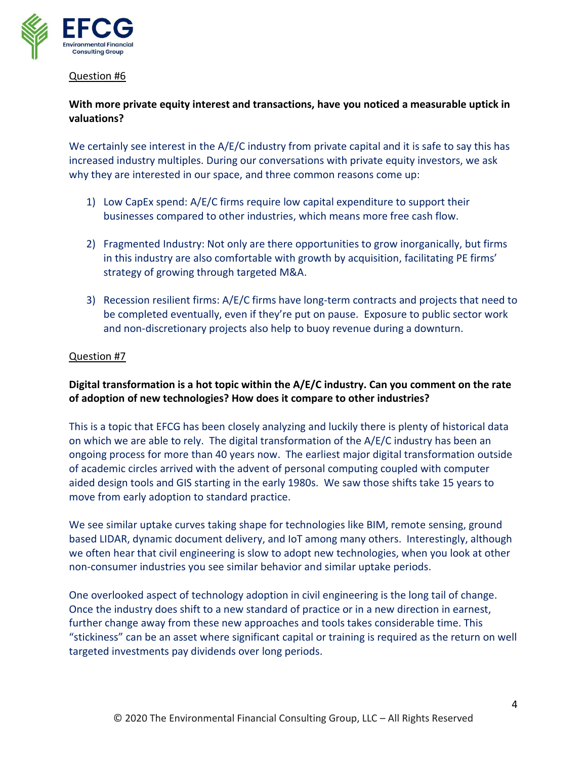

## **With more private equity interest and transactions, have you noticed a measurable uptick in valuations?**

We certainly see interest in the A/E/C industry from private capital and it is safe to say this has increased industry multiples. During our conversations with private equity investors, we ask why they are interested in our space, and three common reasons come up:

- 1) Low CapEx spend: A/E/C firms require low capital expenditure to support their businesses compared to other industries, which means more free cash flow.
- 2) Fragmented Industry: Not only are there opportunities to grow inorganically, but firms in this industry are also comfortable with growth by acquisition, facilitating PE firms' strategy of growing through targeted M&A.
- 3) Recession resilient firms: A/E/C firms have long-term contracts and projects that need to be completed eventually, even if they're put on pause. Exposure to public sector work and non-discretionary projects also help to buoy revenue during a downturn.

#### Question #7

## **Digital transformation is a hot topic within the A/E/C industry. Can you comment on the rate of adoption of new technologies? How does it compare to other industries?**

This is a topic that EFCG has been closely analyzing and luckily there is plenty of historical data on which we are able to rely. The digital transformation of the A/E/C industry has been an ongoing process for more than 40 years now. The earliest major digital transformation outside of academic circles arrived with the advent of personal computing coupled with computer aided design tools and GIS starting in the early 1980s. We saw those shifts take 15 years to move from early adoption to standard practice.

We see similar uptake curves taking shape for technologies like BIM, remote sensing, ground based LIDAR, dynamic document delivery, and IoT among many others. Interestingly, although we often hear that civil engineering is slow to adopt new technologies, when you look at other non-consumer industries you see similar behavior and similar uptake periods.

One overlooked aspect of technology adoption in civil engineering is the long tail of change. Once the industry does shift to a new standard of practice or in a new direction in earnest, further change away from these new approaches and tools takes considerable time. This "stickiness" can be an asset where significant capital or training is required as the return on well targeted investments pay dividends over long periods.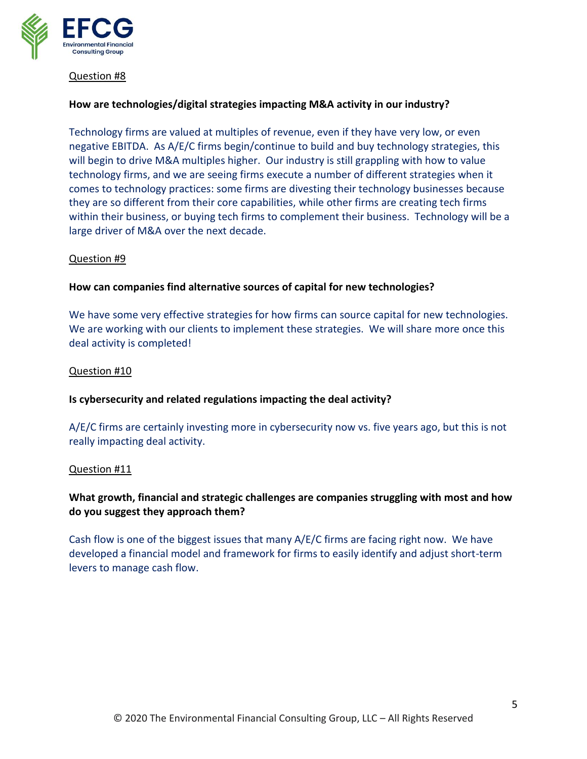

#### **How are technologies/digital strategies impacting M&A activity in our industry?**

Technology firms are valued at multiples of revenue, even if they have very low, or even negative EBITDA. As A/E/C firms begin/continue to build and buy technology strategies, this will begin to drive M&A multiples higher. Our industry is still grappling with how to value technology firms, and we are seeing firms execute a number of different strategies when it comes to technology practices: some firms are divesting their technology businesses because they are so different from their core capabilities, while other firms are creating tech firms within their business, or buying tech firms to complement their business. Technology will be a large driver of M&A over the next decade.

#### Question #9

#### **How can companies find alternative sources of capital for new technologies?**

We have some very effective strategies for how firms can source capital for new technologies. We are working with our clients to implement these strategies. We will share more once this deal activity is completed!

#### Question #10

#### **Is cybersecurity and related regulations impacting the deal activity?**

A/E/C firms are certainly investing more in cybersecurity now vs. five years ago, but this is not really impacting deal activity.

#### Question #11

## **What growth, financial and strategic challenges are companies struggling with most and how do you suggest they approach them?**

Cash flow is one of the biggest issues that many A/E/C firms are facing right now. We have developed a financial model and framework for firms to easily identify and adjust short-term levers to manage cash flow.